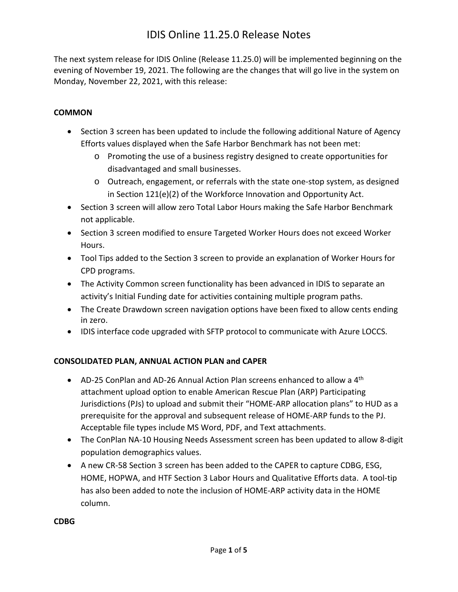## IDIS Online 11.25.0 Release Notes

The next system release for IDIS Online (Release 11.25.0) will be implemented beginning on the evening of November 19, 2021. The following are the changes that will go live in the system on Monday, November 22, 2021, with this release:

#### **COMMON**

- Section 3 screen has been updated to include the following additional Nature of Agency Efforts values displayed when the Safe Harbor Benchmark has not been met:
	- o Promoting the use of a business registry designed to create opportunities for disadvantaged and small businesses.
	- o Outreach, engagement, or referrals with the state one-stop system, as designed in Section 121(e)(2) of the Workforce Innovation and Opportunity Act.
- Section 3 screen will allow zero Total Labor Hours making the Safe Harbor Benchmark not applicable.
- Section 3 screen modified to ensure Targeted Worker Hours does not exceed Worker Hours.
- Tool Tips added to the Section 3 screen to provide an explanation of Worker Hours for CPD programs.
- The Activity Common screen functionality has been advanced in IDIS to separate an activity's Initial Funding date for activities containing multiple program paths.
- The Create Drawdown screen navigation options have been fixed to allow cents ending in zero.
- IDIS interface code upgraded with SFTP protocol to communicate with Azure LOCCS.

### **CONSOLIDATED PLAN, ANNUAL ACTION PLAN and CAPER**

- AD-25 ConPlan and AD-26 Annual Action Plan screens enhanced to allow a  $4<sup>th</sup>$ attachment upload option to enable American Rescue Plan (ARP) Participating Jurisdictions (PJs) to upload and submit their "HOME-ARP allocation plans" to HUD as a prerequisite for the approval and subsequent release of HOME-ARP funds to the PJ. Acceptable file types include MS Word, PDF, and Text attachments.
- The ConPlan NA-10 Housing Needs Assessment screen has been updated to allow 8-digit population demographics values.
- A new CR-58 Section 3 screen has been added to the CAPER to capture CDBG, ESG, HOME, HOPWA, and HTF Section 3 Labor Hours and Qualitative Efforts data. A tool-tip has also been added to note the inclusion of HOME-ARP activity data in the HOME column.

#### **CDBG**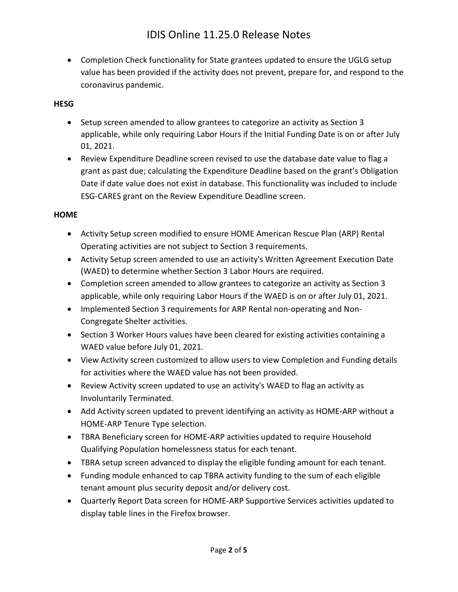Completion Check functionality for State grantees updated to ensure the UGLG setup value has been provided if the activity does not prevent, prepare for, and respond to the coronavirus pandemic.

#### **HESG**

- Setup screen amended to allow grantees to categorize an activity as Section 3 applicable, while only requiring Labor Hours if the Initial Funding Date is on or after July 01, 2021.
- Review Expenditure Deadline screen revised to use the database date value to flag a grant as past due; calculating the Expenditure Deadline based on the grant's Obligation Date if date value does not exist in database. This functionality was included to include ESG-CARES grant on the Review Expenditure Deadline screen.

#### **HOME**

- Activity Setup screen modified to ensure HOME American Rescue Plan (ARP) Rental Operating activities are not subject to Section 3 requirements.
- Activity Setup screen amended to use an activity's Written Agreement Execution Date (WAED) to determine whether Section 3 Labor Hours are required.
- Completion screen amended to allow grantees to categorize an activity as Section 3 applicable, while only requiring Labor Hours if the WAED is on or after July 01, 2021.
- Implemented Section 3 requirements for ARP Rental non-operating and Non-Congregate Shelter activities.
- Section 3 Worker Hours values have been cleared for existing activities containing a WAED value before July 01, 2021.
- View Activity screen customized to allow users to view Completion and Funding details for activities where the WAED value has not been provided.
- Review Activity screen updated to use an activity's WAED to flag an activity as Involuntarily Terminated.
- Add Activity screen updated to prevent identifying an activity as HOME-ARP without a HOME-ARP Tenure Type selection.
- TBRA Beneficiary screen for HOME-ARP activities updated to require Household Qualifying Population homelessness status for each tenant.
- TBRA setup screen advanced to display the eligible funding amount for each tenant.
- Funding module enhanced to cap TBRA activity funding to the sum of each eligible tenant amount plus security deposit and/or delivery cost.
- Quarterly Report Data screen for HOME-ARP Supportive Services activities updated to display table lines in the Firefox browser.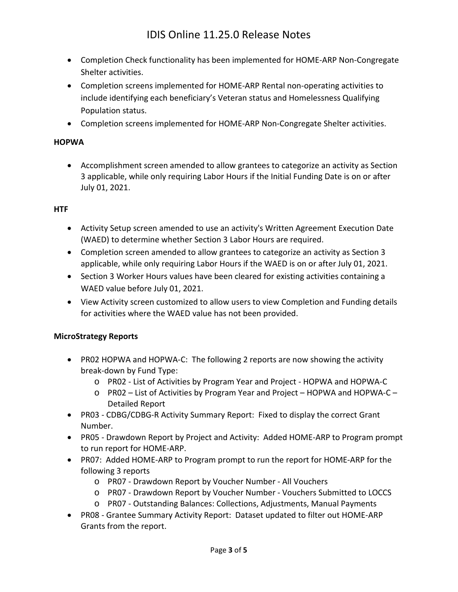- Completion Check functionality has been implemented for HOME-ARP Non-Congregate Shelter activities.
- Completion screens implemented for HOME-ARP Rental non-operating activities to include identifying each beneficiary's Veteran status and Homelessness Qualifying Population status.
- Completion screens implemented for HOME-ARP Non-Congregate Shelter activities.

#### **HOPWA**

 Accomplishment screen amended to allow grantees to categorize an activity as Section 3 applicable, while only requiring Labor Hours if the Initial Funding Date is on or after July 01, 2021.

#### **HTF**

- Activity Setup screen amended to use an activity's Written Agreement Execution Date (WAED) to determine whether Section 3 Labor Hours are required.
- Completion screen amended to allow grantees to categorize an activity as Section 3 applicable, while only requiring Labor Hours if the WAED is on or after July 01, 2021.
- Section 3 Worker Hours values have been cleared for existing activities containing a WAED value before July 01, 2021.
- View Activity screen customized to allow users to view Completion and Funding details for activities where the WAED value has not been provided.

### **MicroStrategy Reports**

- PR02 HOPWA and HOPWA-C: The following 2 reports are now showing the activity break-down by Fund Type:
	- o PR02 List of Activities by Program Year and Project HOPWA and HOPWA-C
	- o PR02 List of Activities by Program Year and Project HOPWA and HOPWA-C Detailed Report
- PR03 CDBG/CDBG-R Activity Summary Report: Fixed to display the correct Grant Number.
- PR05 Drawdown Report by Project and Activity: Added HOME-ARP to Program prompt to run report for HOME-ARP.
- PR07: Added HOME-ARP to Program prompt to run the report for HOME-ARP for the following 3 reports
	- o PR07 Drawdown Report by Voucher Number All Vouchers
	- o PR07 Drawdown Report by Voucher Number Vouchers Submitted to LOCCS
	- o PR07 Outstanding Balances: Collections, Adjustments, Manual Payments
- PR08 Grantee Summary Activity Report: Dataset updated to filter out HOME-ARP Grants from the report.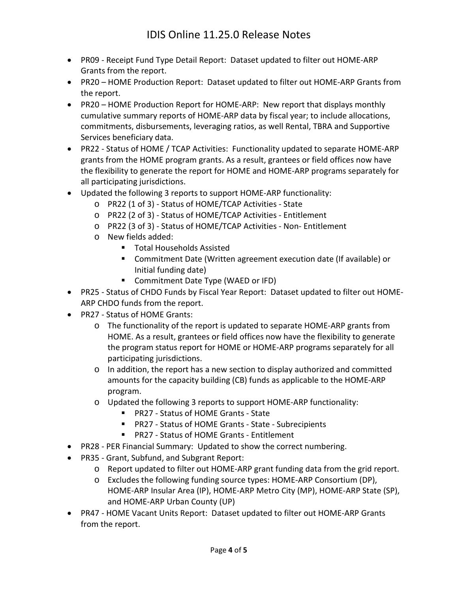- PR09 Receipt Fund Type Detail Report: Dataset updated to filter out HOME-ARP Grants from the report.
- PR20 HOME Production Report: Dataset updated to filter out HOME-ARP Grants from the report.
- PR20 HOME Production Report for HOME-ARP: New report that displays monthly cumulative summary reports of HOME-ARP data by fiscal year; to include allocations, commitments, disbursements, leveraging ratios, as well Rental, TBRA and Supportive Services beneficiary data.
- PR22 Status of HOME / TCAP Activities: Functionality updated to separate HOME-ARP grants from the HOME program grants. As a result, grantees or field offices now have the flexibility to generate the report for HOME and HOME-ARP programs separately for all participating jurisdictions.
- Updated the following 3 reports to support HOME-ARP functionality:
	- o PR22 (1 of 3) Status of HOME/TCAP Activities State
	- o PR22 (2 of 3) Status of HOME/TCAP Activities Entitlement
	- o PR22 (3 of 3) Status of HOME/TCAP Activities Non- Entitlement
	- o New fields added:
		- Total Households Assisted
		- Commitment Date (Written agreement execution date (If available) or Initial funding date)
		- **Commitment Date Type (WAED or IFD)**
- PR25 Status of CHDO Funds by Fiscal Year Report: Dataset updated to filter out HOME-ARP CHDO funds from the report.
- PR27 Status of HOME Grants:
	- o The functionality of the report is updated to separate HOME-ARP grants from HOME. As a result, grantees or field offices now have the flexibility to generate the program status report for HOME or HOME-ARP programs separately for all participating jurisdictions.
	- o In addition, the report has a new section to display authorized and committed amounts for the capacity building (CB) funds as applicable to the HOME-ARP program.
	- o Updated the following 3 reports to support HOME-ARP functionality:
		- PR27 Status of HOME Grants State
		- PR27 Status of HOME Grants State Subrecipients
		- PR27 Status of HOME Grants Entitlement
- PR28 PER Financial Summary: Updated to show the correct numbering.
- PR35 Grant, Subfund, and Subgrant Report:
	- o Report updated to filter out HOME-ARP grant funding data from the grid report.
	- o Excludes the following funding source types: HOME-ARP Consortium (DP), HOME-ARP Insular Area (IP), HOME-ARP Metro City (MP), HOME-ARP State (SP), and HOME-ARP Urban County (UP)
- PR47 HOME Vacant Units Report: Dataset updated to filter out HOME-ARP Grants from the report.